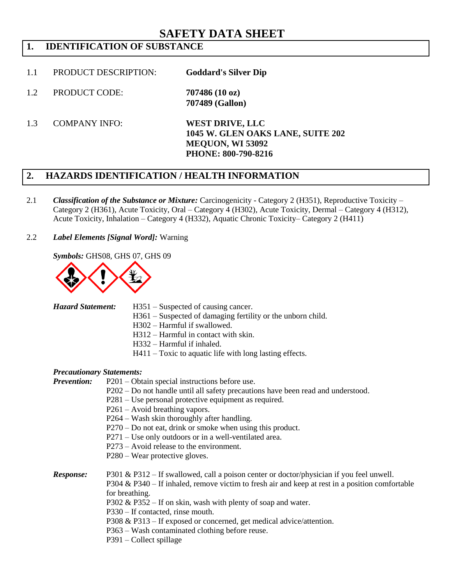# **SAFETY DATA SHEET**

# **1. IDENTIFICATION OF SUBSTANCE**

- 1.1 PRODUCT DESCRIPTION: **Goddard's Silver Dip**
- 1.2 PRODUCT CODE: **707486 (10 oz) 707489 (Gallon)**
- 1.3 COMPANY INFO: **WEST DRIVE, LLC**

**1045 W. GLEN OAKS LANE, SUITE 202 MEQUON, WI 53092 PHONE: 800-790-8216**

### **2. HAZARDS IDENTIFICATION / HEALTH INFORMATION**

2.1 *Classification of the Substance or Mixture:* Carcinogenicity - Category 2 (H351), Reproductive Toxicity – Category 2 (H361), Acute Toxicity, Oral – Category 4 (H302), Acute Toxicity, Dermal – Category 4 (H312), Acute Toxicity, Inhalation – Category 4 (H332), Aquatic Chronic Toxicity– Category 2 (H411)

2.2 *Label Elements [Signal Word]:* Warning

*Symbols:* GHS08, GHS 07, GHS 09



- *Hazard Statement:* H351 Suspected of causing cancer.
	- H361 Suspected of damaging fertility or the unborn child.
	- H302 Harmful if swallowed.
	- H312 Harmful in contact with skin.
	- H332 Harmful if inhaled.
	- H411 Toxic to aquatic life with long lasting effects.

#### *Precautionary Statements:*

*Prevention:* P201 – Obtain special instructions before use.

- P202 Do not handle until all safety precautions have been read and understood.
- P281 Use personal protective equipment as required.
- P261 Avoid breathing vapors.
- P264 Wash skin thoroughly after handling.
- P270 Do not eat, drink or smoke when using this product.
- P271 Use only outdoors or in a well-ventilated area.
- P273 Avoid release to the environment.
- P280 Wear protective gloves.

*Response:* P301 & P312 – If swallowed, call a poison center or doctor/physician if you feel unwell. P304 & P340 – If inhaled, remove victim to fresh air and keep at rest in a position comfortable for breathing. P302 & P352 – If on skin, wash with plenty of soap and water. P330 – If contacted, rinse mouth. P308 & P313 – If exposed or concerned, get medical advice/attention. P363 – Wash contaminated clothing before reuse.

P391 – Collect spillage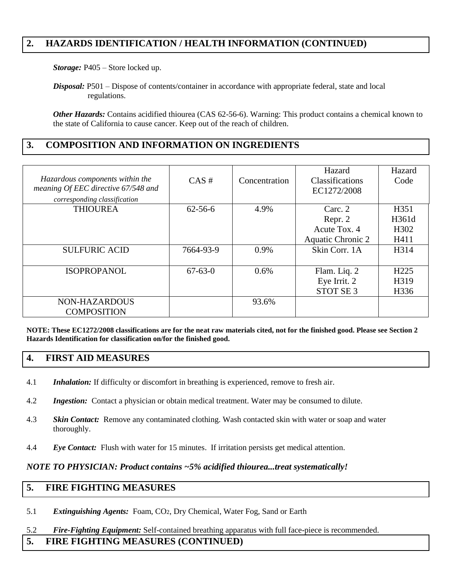### **2. HAZARDS IDENTIFICATION / HEALTH INFORMATION (CONTINUED)**

*Storage:* P405 – Store locked up.

*Disposal:* P501 – Dispose of contents/container in accordance with appropriate federal, state and local regulations.

*Other Hazards:* Contains acidified thiourea (CAS 62-56-6). Warning: This product contains a chemical known to the state of California to cause cancer. Keep out of the reach of children.

### **3. COMPOSITION AND INFORMATION ON INGREDIENTS**

| Hazardous components within the<br>meaning Of EEC directive 67/548 and<br>corresponding classification | $CAS \#$      | Concentration | Hazard<br>Classifications<br>EC1272/2008                       | Hazard<br>Code                   |
|--------------------------------------------------------------------------------------------------------|---------------|---------------|----------------------------------------------------------------|----------------------------------|
| <b>THIOUREA</b>                                                                                        | $62 - 56 - 6$ | 4.9%          | Carc. 2<br>Repr. 2<br>Acute Tox. 4<br><b>Aquatic Chronic 2</b> | H351<br>H361d<br>H302<br>H411    |
| <b>SULFURIC ACID</b>                                                                                   | 7664-93-9     | 0.9%          | Skin Corr. 1A                                                  | H314                             |
| <b>ISOPROPANOL</b>                                                                                     | $67 - 63 - 0$ | 0.6%          | Flam. Liq. 2<br>Eye Irrit. 2<br>STOT SE <sub>3</sub>           | H <sub>225</sub><br>H319<br>H336 |
| NON-HAZARDOUS<br><b>COMPOSITION</b>                                                                    |               | 93.6%         |                                                                |                                  |

**NOTE: These EC1272/2008 classifications are for the neat raw materials cited, not for the finished good. Please see Section 2 Hazards Identification for classification on/for the finished good.**

### **4. FIRST AID MEASURES**

- 4.1 *Inhalation:* If difficulty or discomfort in breathing is experienced, remove to fresh air.
- 4.2 *Ingestion:* Contact a physician or obtain medical treatment. Water may be consumed to dilute.
- 4.3 *Skin Contact:* Remove any contaminated clothing. Wash contacted skin with water or soap and water thoroughly.
- 4.4 *Eye Contact:* Flush with water for 15 minutes. If irritation persists get medical attention.

#### *NOTE TO PHYSICIAN: Product contains ~5% acidified thiourea...treat systematically!*

### **5. FIRE FIGHTING MEASURES**

- 5.1 *Extinguishing Agents:* Foam, CO2, Dry Chemical, Water Fog, Sand or Earth
- 5.2 *Fire-Fighting Equipment:* Self-contained breathing apparatus with full face-piece is recommended.

### **5. FIRE FIGHTING MEASURES (CONTINUED)**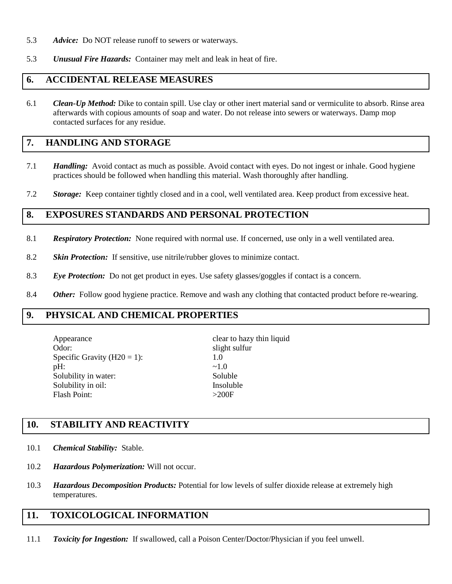- 5.3 *Advice:* Do NOT release runoff to sewers or waterways.
- 5.3 *Unusual Fire Hazards:* Container may melt and leak in heat of fire.

### **6. ACCIDENTAL RELEASE MEASURES**

6.1 *Clean-Up Method:* Dike to contain spill. Use clay or other inert material sand or vermiculite to absorb. Rinse area afterwards with copious amounts of soap and water. Do not release into sewers or waterways. Damp mop contacted surfaces for any residue.

### **7. HANDLING AND STORAGE**

- 7.1 *Handling:*Avoid contact as much as possible. Avoid contact with eyes. Do not ingest or inhale. Good hygiene practices should be followed when handling this material. Wash thoroughly after handling.
- 7.2 *Storage:* Keep container tightly closed and in a cool, well ventilated area. Keep product from excessive heat.

#### **8. EXPOSURES STANDARDS AND PERSONAL PROTECTION**

- 8.1 *Respiratory Protection:* None required with normal use. If concerned, use only in a well ventilated area.
- 8.2 *Skin Protection:* If sensitive, use nitrile/rubber gloves to minimize contact.
- 8.3 *Eye Protection:* Do not get product in eyes. Use safety glasses/goggles if contact is a concern.
- 8.4 *Other:* Follow good hygiene practice. Remove and wash any clothing that contacted product before re-wearing.

### **9. PHYSICAL AND CHEMICAL PROPERTIES**

Appearance clear to hazy thin liquid Odor: slight sulfur Specific Gravity  $(H20 = 1)$ : 1.0  $pH:$   $\sim 1.0$ Solubility in water: Soluble Solubility in oil: Insoluble Flash Point: >200F

# **10. STABILITY AND REACTIVITY**

- 10.1 *Chemical Stability:* Stable.
- 10.2 *Hazardous Polymerization:* Will not occur.
- 10.3 *Hazardous Decomposition Products:* Potential for low levels of sulfer dioxide release at extremely high temperatures.

### **11. TOXICOLOGICAL INFORMATION**

11.1 *Toxicity for Ingestion:* If swallowed, call a Poison Center/Doctor/Physician if you feel unwell.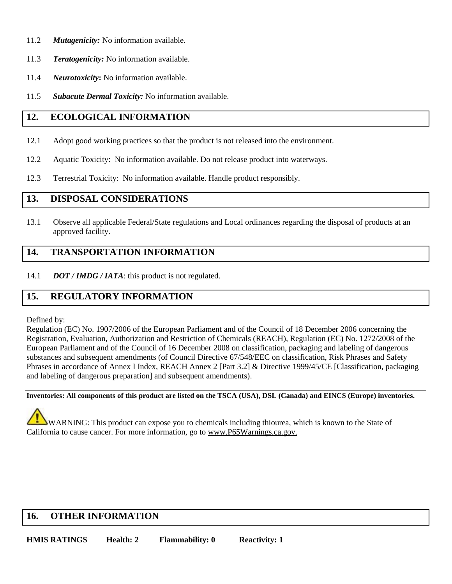- 11.2 *Mutagenicity:* No information available.
- 11.3 *Teratogenicity:* No information available.
- 11.4 *Neurotoxicity***:** No information available.
- 11.5 *Subacute Dermal Toxicity:* No information available.

## **12. ECOLOGICAL INFORMATION**

- 12.1 Adopt good working practices so that the product is not released into the environment.
- 12.2 Aquatic Toxicity: No information available. Do not release product into waterways.
- 12.3 Terrestrial Toxicity: No information available. Handle product responsibly.

#### **13. DISPOSAL CONSIDERATIONS**

13.1 Observe all applicable Federal/State regulations and Local ordinances regarding the disposal of products at an approved facility.

### **14. TRANSPORTATION INFORMATION**

14.1 *DOT / IMDG / IATA*: this product is not regulated.

### **15. REGULATORY INFORMATION**

Defined by:

Regulation (EC) No. 1907/2006 of the European Parliament and of the Council of 18 December 2006 concerning the Registration, Evaluation, Authorization and Restriction of Chemicals (REACH), Regulation (EC) No. 1272/2008 of the European Parliament and of the Council of 16 December 2008 on classification, packaging and labeling of dangerous substances and subsequent amendments (of Council Directive 67/548/EEC on classification, Risk Phrases and Safety Phrases in accordance of Annex I Index, REACH Annex 2 [Part 3.2] & Directive 1999/45/CE [Classification, packaging and labeling of dangerous preparation] and subsequent amendments).

**Inventories: All components of this product are listed on the TSCA (USA), DSL (Canada) and EINCS (Europe) inventories.** 

WARNING: This product can expose you to chemicals including thiourea, which is known to the State of California to cause cancer. For more information, go to www.P65Warnings.ca.gov.

### **16. OTHER INFORMATION**